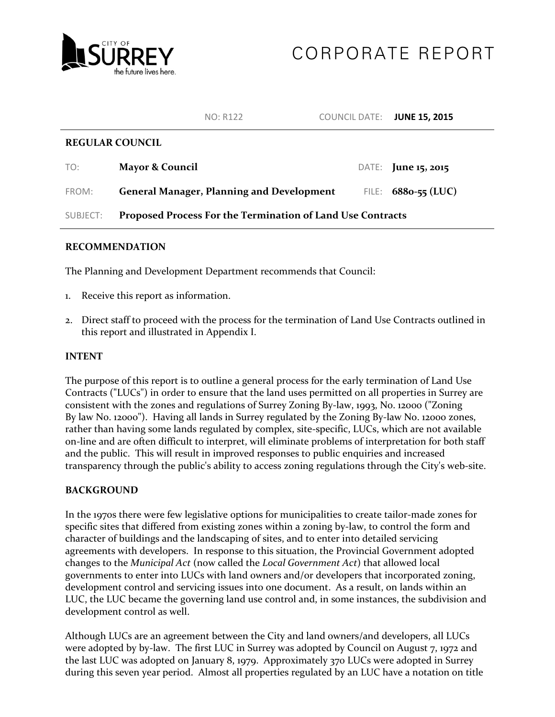

## CORPORATE REPORT

|                        | <b>NO: R122</b>                                            | COUNCIL DATE: JUNE 15, 2015 |                            |  |
|------------------------|------------------------------------------------------------|-----------------------------|----------------------------|--|
| <b>REGULAR COUNCIL</b> |                                                            |                             |                            |  |
| TO:                    | <b>Mayor &amp; Council</b>                                 |                             | DATE: <b>June 15, 2015</b> |  |
| FROM:                  | <b>General Manager, Planning and Development</b>           |                             | FILE: $6880 - 55$ (LUC)    |  |
| SUBJECT:               | Proposed Process For the Termination of Land Use Contracts |                             |                            |  |

## **RECOMMENDATION**

The Planning and Development Department recommends that Council:

- 1. Receive this report as information.
- 2. Direct staff to proceed with the process for the termination of Land Use Contracts outlined in this report and illustrated in Appendix I.

## **INTENT**

The purpose of this report is to outline a general process for the early termination of Land Use Contracts ("LUCs") in order to ensure that the land uses permitted on all properties in Surrey are consistent with the zones and regulations of Surrey Zoning By-law, 1993, N0. 12000 ("Zoning By law No. 12000"). Having all lands in Surrey regulated by the Zoning By-law No. 12000 zones, rather than having some lands regulated by complex, site-specific, LUCs, which are not available on-line and are often difficult to interpret, will eliminate problems of interpretation for both staff and the public. This will result in improved responses to public enquiries and increased transparency through the public's ability to access zoning regulations through the City's web-site.

## **BACKGROUND**

In the 1970s there were few legislative options for municipalities to create tailor-made zones for specific sites that differed from existing zones within a zoning by-law, to control the form and character of buildings and the landscaping of sites, and to enter into detailed servicing agreements with developers. In response to this situation, the Provincial Government adopted changes to the *Municipal Act* (now called the *Local Government Act*) that allowed local governments to enter into LUCs with land owners and/or developers that incorporated zoning, development control and servicing issues into one document. As a result, on lands within an LUC, the LUC became the governing land use control and, in some instances, the subdivision and development control as well.

Although LUCs are an agreement between the City and land owners/and developers, all LUCs were adopted by by-law. The first LUC in Surrey was adopted by Council on August 7, 1972 and the last LUC was adopted on January 8, 1979. Approximately 370 LUCs were adopted in Surrey during this seven year period. Almost all properties regulated by an LUC have a notation on title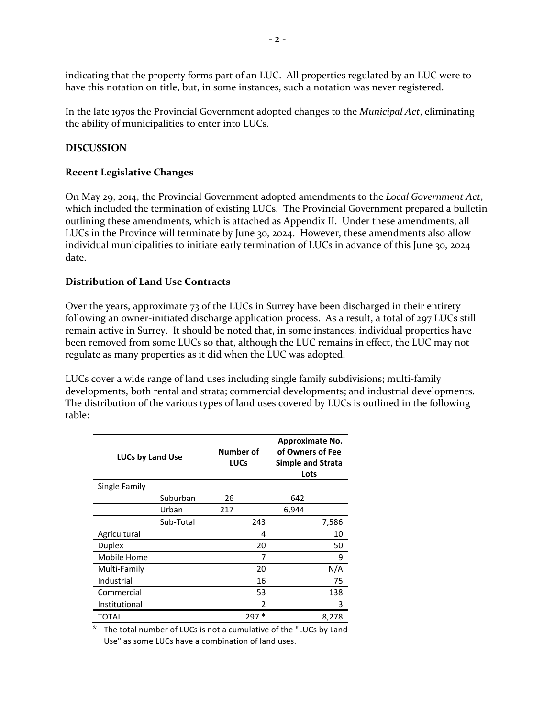indicating that the property forms part of an LUC. All properties regulated by an LUC were to have this notation on title, but, in some instances, such a notation was never registered.

In the late 1970s the Provincial Government adopted changes to the *Municipal Act*, eliminating the ability of municipalities to enter into LUCs.

## **DISCUSSION**

## **Recent Legislative Changes**

On May 29, 2014, the Provincial Government adopted amendments to the *Local Government Act*, which included the termination of existing LUCs. The Provincial Government prepared a bulletin outlining these amendments, which is attached as Appendix II. Under these amendments, all LUCs in the Province will terminate by June 30, 2024. However, these amendments also allow individual municipalities to initiate early termination of LUCs in advance of this June 30, 2024 date.

## **Distribution of Land Use Contracts**

Over the years, approximate 73 of the LUCs in Surrey have been discharged in their entirety following an owner-initiated discharge application process. As a result, a total of 297 LUCs still remain active in Surrey. It should be noted that, in some instances, individual properties have been removed from some LUCs so that, although the LUC remains in effect, the LUC may not regulate as many properties as it did when the LUC was adopted.

LUCs cover a wide range of land uses including single family subdivisions; multi-family developments, both rental and strata; commercial developments; and industrial developments. The distribution of the various types of land uses covered by LUCs is outlined in the following table:

| <b>LUCs by Land Use</b> |           | Number of<br><b>LUCs</b> | Approximate No.<br>of Owners of Fee<br><b>Simple and Strata</b><br>Lots |       |
|-------------------------|-----------|--------------------------|-------------------------------------------------------------------------|-------|
| Single Family           |           |                          |                                                                         |       |
|                         | Suburban  | 26                       | 642                                                                     |       |
|                         | Urban     | 217                      | 6,944                                                                   |       |
|                         | Sub-Total | 243                      |                                                                         | 7,586 |
| Agricultural            |           | 4                        |                                                                         | 10    |
| Duplex                  |           | 20                       |                                                                         | 50    |
| Mobile Home             |           | 7                        |                                                                         | 9     |
| Multi-Family            |           | 20                       |                                                                         | N/A   |
| Industrial              |           | 16                       |                                                                         | 75    |
| Commercial              |           | 53                       |                                                                         | 138   |
| Institutional           |           | 2                        |                                                                         | 3     |
| TOTAL                   |           | $297*$                   |                                                                         | 8,278 |

The total number of LUCs is not a cumulative of the "LUCs by Land Use" as some LUCs have a combination of land uses.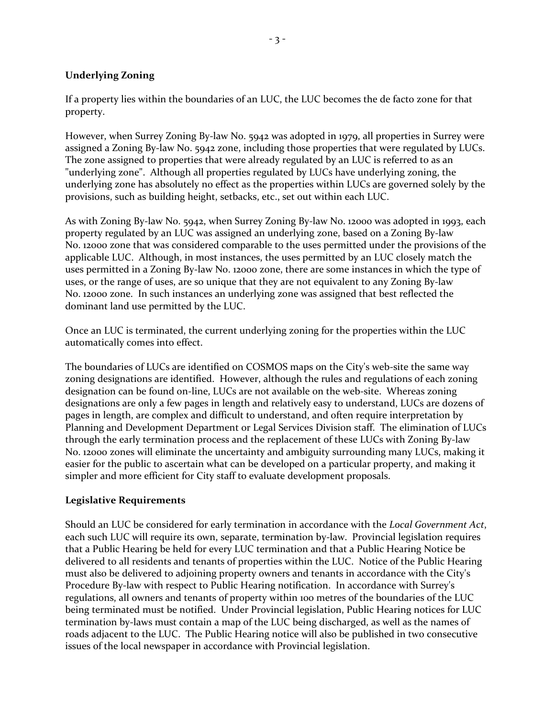## **Underlying Zoning**

If a property lies within the boundaries of an LUC, the LUC becomes the de facto zone for that property.

However, when Surrey Zoning By-law No. 5942 was adopted in 1979, all properties in Surrey were assigned a Zoning By-law No. 5942 zone, including those properties that were regulated by LUCs. The zone assigned to properties that were already regulated by an LUC is referred to as an "underlying zone". Although all properties regulated by LUCs have underlying zoning, the underlying zone has absolutely no effect as the properties within LUCs are governed solely by the provisions, such as building height, setbacks, etc., set out within each LUC.

As with Zoning By-law No. 5942, when Surrey Zoning By-law No. 12000 was adopted in 1993, each property regulated by an LUC was assigned an underlying zone, based on a Zoning By-law No. 12000 zone that was considered comparable to the uses permitted under the provisions of the applicable LUC. Although, in most instances, the uses permitted by an LUC closely match the uses permitted in a Zoning By-law No. 12000 zone, there are some instances in which the type of uses, or the range of uses, are so unique that they are not equivalent to any Zoning By-law No. 12000 zone. In such instances an underlying zone was assigned that best reflected the dominant land use permitted by the LUC.

Once an LUC is terminated, the current underlying zoning for the properties within the LUC automatically comes into effect.

The boundaries of LUCs are identified on COSMOS maps on the City's web-site the same way zoning designations are identified. However, although the rules and regulations of each zoning designation can be found on-line, LUCs are not available on the web-site. Whereas zoning designations are only a few pages in length and relatively easy to understand, LUCs are dozens of pages in length, are complex and difficult to understand, and often require interpretation by Planning and Development Department or Legal Services Division staff. The elimination of LUCs through the early termination process and the replacement of these LUCs with Zoning By-law No. 12000 zones will eliminate the uncertainty and ambiguity surrounding many LUCs, making it easier for the public to ascertain what can be developed on a particular property, and making it simpler and more efficient for City staff to evaluate development proposals.

## **Legislative Requirements**

Should an LUC be considered for early termination in accordance with the *Local Government Act*, each such LUC will require its own, separate, termination by-law. Provincial legislation requires that a Public Hearing be held for every LUC termination and that a Public Hearing Notice be delivered to all residents and tenants of properties within the LUC. Notice of the Public Hearing must also be delivered to adjoining property owners and tenants in accordance with the City's Procedure By-law with respect to Public Hearing notification. In accordance with Surrey's regulations, all owners and tenants of property within 100 metres of the boundaries of the LUC being terminated must be notified. Under Provincial legislation, Public Hearing notices for LUC termination by-laws must contain a map of the LUC being discharged, as well as the names of roads adjacent to the LUC. The Public Hearing notice will also be published in two consecutive issues of the local newspaper in accordance with Provincial legislation.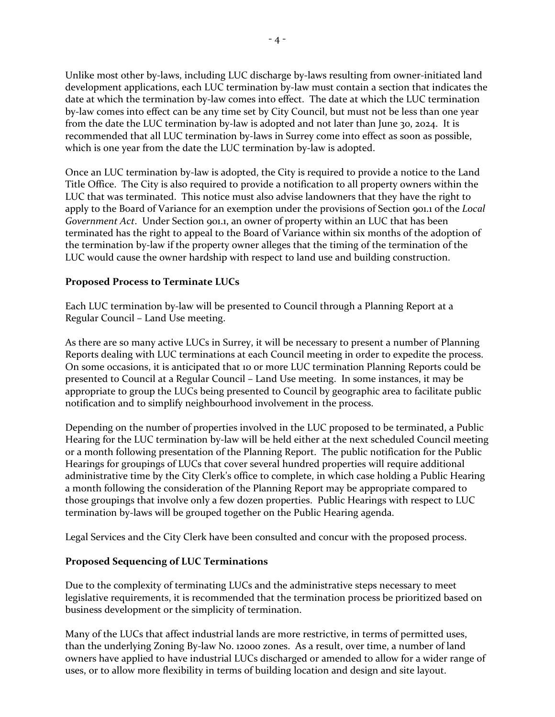Unlike most other by-laws, including LUC discharge by-laws resulting from owner-initiated land development applications, each LUC termination by-law must contain a section that indicates the date at which the termination by-law comes into effect. The date at which the LUC termination by-law c0mes into effect can be any time set by City Council, but must not be less than one year from the date the LUC termination by-law is adopted and not later than June 30, 2024. It is recommended that all LUC termination by-laws in Surrey come into effect as soon as possible, which is one year from the date the LUC termination by-law is adopted.

Once an LUC termination by-law is adopted, the City is required to provide a notice to the Land Title Office. The City is also required to provide a notification to all property owners within the LUC that was terminated. This notice must also advise landowners that they have the right to apply to the Board of Variance for an exemption under the provisions of Section 901.1 of the *Local Government Act*. Under Section 901.1, an owner of property within an LUC that has been terminated has the right to appeal to the Board of Variance within six months of the adoption of the termination by-law if the property owner alleges that the timing of the termination of the LUC would cause the owner hardship with respect to land use and building construction.

## **Proposed Process to Terminate LUCs**

Each LUC termination by-law will be presented to Council through a Planning Report at a Regular Council – Land Use meeting.

As there are so many active LUCs in Surrey, it will be necessary to present a number of Planning Reports dealing with LUC terminations at each Council meeting in order to expedite the process. On some occasions, it is anticipated that 10 or more LUC termination Planning Reports could be presented to Council at a Regular Council – Land Use meeting. In some instances, it may be appropriate to group the LUCs being presented to Council by geographic area to facilitate public notification and to simplify neighbourhood involvement in the process.

Depending on the number of properties involved in the LUC proposed to be terminated, a Public Hearing for the LUC termination by-law will be held either at the next scheduled Council meeting or a month following presentation of the Planning Report. The public notification for the Public Hearings for groupings of LUCs that cover several hundred properties will require additional administrative time by the City Clerk's office to complete, in which case holding a Public Hearing a month following the consideration of the Planning Report may be appropriate compared to those groupings that involve only a few dozen properties. Public Hearings with respect to LUC termination by-laws will be grouped together on the Public Hearing agenda.

Legal Services and the City Clerk have been consulted and concur with the proposed process.

## **Proposed Sequencing of LUC Terminations**

Due to the complexity of terminating LUCs and the administrative steps necessary to meet legislative requirements, it is recommended that the termination process be prioritized based on business development or the simplicity of termination.

Many of the LUCs that affect industrial lands are more restrictive, in terms of permitted uses, than the underlying Zoning By-law No. 12000 zones. As a result, over time, a number of land owners have applied to have industrial LUCs discharged or amended to allow for a wider range of uses, or to allow more flexibility in terms of building location and design and site layout.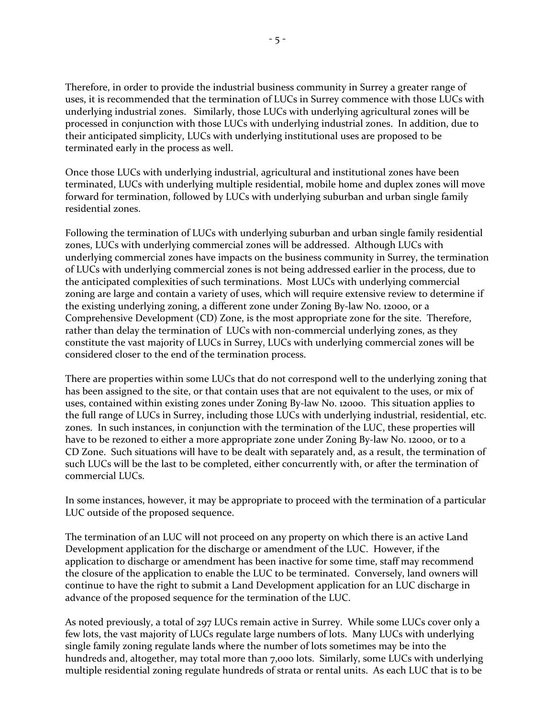Therefore, in order to provide the industrial business community in Surrey a greater range of uses, it is recommended that the termination of LUCs in Surrey commence with those LUCs with underlying industrial zones. Similarly, those LUCs with underlying agricultural zones will be processed in conjunction with those LUCs with underlying industrial zones. In addition, due to their anticipated simplicity, LUCs with underlying institutional uses are proposed to be terminated early in the process as well.

Once those LUCs with underlying industrial, agricultural and institutional zones have been terminated, LUCs with underlying multiple residential, mobile home and duplex zones will move forward for termination, followed by LUCs with underlying suburban and urban single family residential zones.

Following the termination of LUCs with underlying suburban and urban single family residential zones, LUCs with underlying commercial zones will be addressed. Although LUCs with underlying commercial zones have impacts on the business community in Surrey, the termination of LUCs with underlying commercial zones is not being addressed earlier in the process, due to the anticipated complexities of such terminations. Most LUCs with underlying commercial zoning are large and contain a variety of uses, which will require extensive review to determine if the existing underlying zoning, a different zone under Zoning By-law No. 12000, or a Comprehensive Development (CD) Zone, is the most appropriate zone for the site. Therefore, rather than delay the termination of LUCs with non-commercial underlying zones, as they constitute the vast majority of LUCs in Surrey, LUCs with underlying commercial zones will be considered closer to the end of the termination process.

There are properties within some LUCs that do not correspond well to the underlying zoning that has been assigned to the site, or that contain uses that are not equivalent to the uses, or mix of uses, contained within existing zones under Zoning By-law No. 12000. This situation applies to the full range of LUCs in Surrey, including those LUCs with underlying industrial, residential, etc. zones. In such instances, in conjunction with the termination of the LUC, these properties will have to be rezoned to either a more appropriate zone under Zoning By-law No. 1200o, or to a CD Zone. Such situations will have to be dealt with separately and, as a result, the termination of such LUCs will be the last to be completed, either concurrently with, or after the termination of commercial LUCs.

In some instances, however, it may be appropriate to proceed with the termination of a particular LUC outside of the proposed sequence.

The termination of an LUC will not proceed on any property on which there is an active Land Development application for the discharge or amendment of the LUC. However, if the application to discharge or amendment has been inactive for some time, staff may recommend the closure of the application to enable the LUC to be terminated. Conversely, land owners will continue to have the right to submit a Land Development application for an LUC discharge in advance of the proposed sequence for the termination of the LUC.

As noted previously, a total of 297 LUCs remain active in Surrey. While some LUCs cover only a few lots, the vast majority of LUCs regulate large numbers of lots. Many LUCs with underlying single family zoning regulate lands where the number of lots sometimes may be into the hundreds and, altogether, may total more than 7,000 lots. Similarly, some LUCs with underlying multiple residential zoning regulate hundreds of strata or rental units. As each LUC that is to be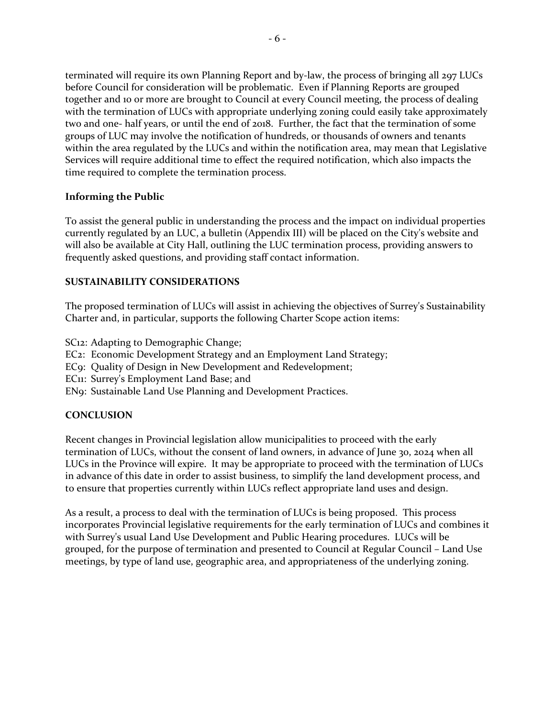terminated will require its own Planning Report and by-law, the process of bringing all 297 LUCs before Council for consideration will be problematic. Even if Planning Reports are grouped together and 10 or more are brought to Council at every Council meeting, the process of dealing with the termination of LUCs with appropriate underlying zoning could easily take approximately two and one- half years, or until the end of 2018. Further, the fact that the termination of some groups of LUC may involve the notification of hundreds, or thousands of owners and tenants within the area regulated by the LUCs and within the notification area, may mean that Legislative Services will require additional time to effect the required notification, which also impacts the time required to complete the termination process.

## **Informing the Public**

To assist the general public in understanding the process and the impact on individual properties currently regulated by an LUC, a bulletin (Appendix III) will be placed on the City's website and will also be available at City Hall, outlining the LUC termination process, providing answers to frequently asked questions, and providing staff contact information.

## **SUSTAINABILITY CONSIDERATIONS**

The proposed termination of LUCs will assist in achieving the objectives of Surrey's Sustainability Charter and, in particular, supports the following Charter Scope action items:

SC12: Adapting to Demographic Change;

- EC2: Economic Development Strategy and an Employment Land Strategy;
- EC9: Quality of Design in New Development and Redevelopment;
- EC11: Surrey's Employment Land Base; and
- EN9: Sustainable Land Use Planning and Development Practices.

## **CONCLUSION**

Recent changes in Provincial legislation allow municipalities to proceed with the early termination of LUCs, without the consent of land owners, in advance of June 30, 2024 when all LUCs in the Province will expire. It may be appropriate to proceed with the termination of LUCs in advance of this date in order to assist business, to simplify the land development process, and to ensure that properties currently within LUCs reflect appropriate land uses and design.

As a result, a process to deal with the termination of LUCs is being proposed. This process incorporates Provincial legislative requirements for the early termination of LUCs and combines it with Surrey's usual Land Use Development and Public Hearing procedures. LUCs will be grouped, for the purpose of termination and presented to Council at Regular Council – Land Use meetings, by type of land use, geographic area, and appropriateness of the underlying zoning.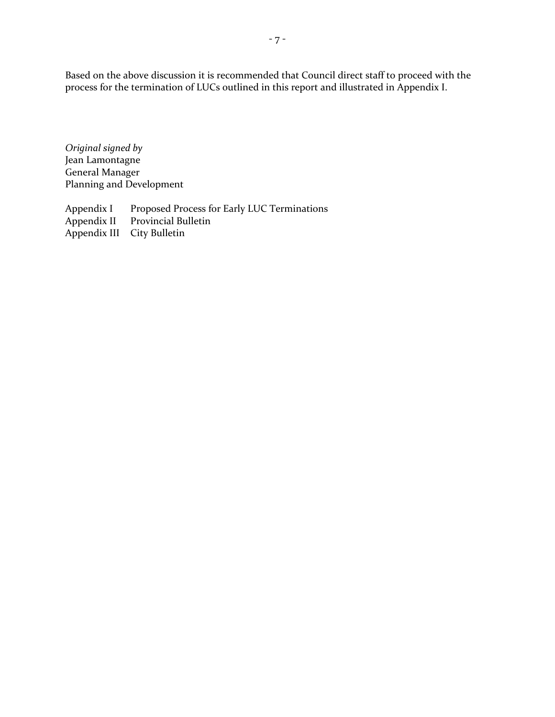Based on the above discussion it is recommended that Council direct staff to proceed with the process for the termination of LUCs outlined in this report and illustrated in Appendix I.

*Original signed by* Jean Lamontagne General Manager Planning and Development

Appendix I Proposed Process for Early LUC Terminations<br>Appendix II Provincial Bulletin Provincial Bulletin<br>City Bulletin Appendix III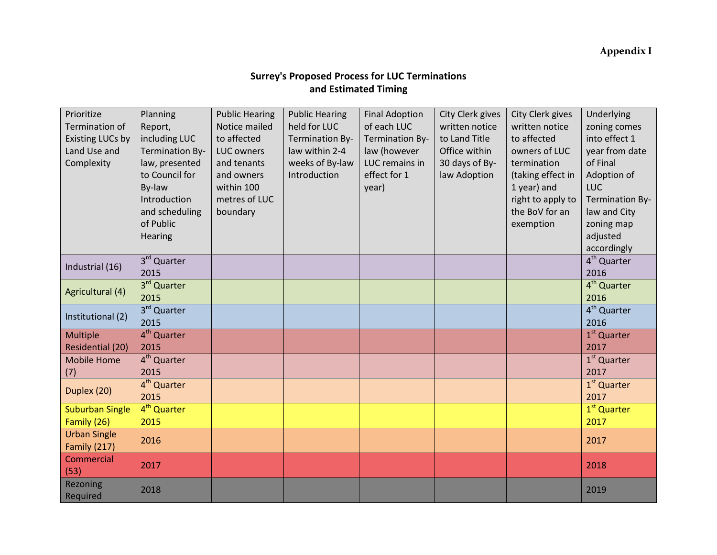## **Appendix I**

## **Surrey's Proposed Process for LUC Terminations and Estimated Timing**

| Prioritize<br><b>Termination of</b><br>Existing LUCs by<br>Land Use and<br>Complexity | Planning<br>Report,<br>including LUC<br>Termination By-<br>law, presented<br>to Council for | <b>Public Hearing</b><br>Notice mailed<br>to affected<br><b>LUC owners</b><br>and tenants<br>and owners | <b>Public Hearing</b><br>held for LUC<br><b>Termination By-</b><br>law within 2-4<br>weeks of By-law<br>Introduction | <b>Final Adoption</b><br>of each LUC<br>Termination By-<br>law (however<br>LUC remains in<br>effect for 1 | City Clerk gives<br>written notice<br>to Land Title<br>Office within<br>30 days of By-<br>law Adoption | City Clerk gives<br>written notice<br>to affected<br>owners of LUC<br>termination<br>(taking effect in | Underlying<br>zoning comes<br>into effect 1<br>year from date<br>of Final<br>Adoption of |
|---------------------------------------------------------------------------------------|---------------------------------------------------------------------------------------------|---------------------------------------------------------------------------------------------------------|----------------------------------------------------------------------------------------------------------------------|-----------------------------------------------------------------------------------------------------------|--------------------------------------------------------------------------------------------------------|--------------------------------------------------------------------------------------------------------|------------------------------------------------------------------------------------------|
|                                                                                       | By-law<br>Introduction                                                                      | within 100<br>metres of LUC                                                                             |                                                                                                                      | year)                                                                                                     |                                                                                                        | 1 year) and<br>right to apply to                                                                       | <b>LUC</b><br><b>Termination By-</b>                                                     |
|                                                                                       | and scheduling                                                                              | boundary                                                                                                |                                                                                                                      |                                                                                                           |                                                                                                        | the BoV for an                                                                                         | law and City                                                                             |
|                                                                                       | of Public                                                                                   |                                                                                                         |                                                                                                                      |                                                                                                           |                                                                                                        | exemption                                                                                              | zoning map                                                                               |
|                                                                                       | Hearing                                                                                     |                                                                                                         |                                                                                                                      |                                                                                                           |                                                                                                        |                                                                                                        | adjusted                                                                                 |
|                                                                                       |                                                                                             |                                                                                                         |                                                                                                                      |                                                                                                           |                                                                                                        |                                                                                                        | accordingly                                                                              |
| Industrial (16)                                                                       | 3rd Quarter                                                                                 |                                                                                                         |                                                                                                                      |                                                                                                           |                                                                                                        |                                                                                                        | 4 <sup>th</sup> Quarter                                                                  |
|                                                                                       | 2015                                                                                        |                                                                                                         |                                                                                                                      |                                                                                                           |                                                                                                        |                                                                                                        | 2016                                                                                     |
| Agricultural (4)                                                                      | 3rd Quarter                                                                                 |                                                                                                         |                                                                                                                      |                                                                                                           |                                                                                                        |                                                                                                        | 4 <sup>th</sup> Quarter                                                                  |
|                                                                                       | 2015                                                                                        |                                                                                                         |                                                                                                                      |                                                                                                           |                                                                                                        |                                                                                                        | 2016                                                                                     |
| Institutional (2)                                                                     | 3rd Quarter<br>2015                                                                         |                                                                                                         |                                                                                                                      |                                                                                                           |                                                                                                        |                                                                                                        | 4 <sup>th</sup> Quarter<br>2016                                                          |
| <b>Multiple</b>                                                                       | 4 <sup>th</sup> Quarter                                                                     |                                                                                                         |                                                                                                                      |                                                                                                           |                                                                                                        |                                                                                                        | $1st$ Quarter                                                                            |
| <b>Residential (20)</b>                                                               | 2015                                                                                        |                                                                                                         |                                                                                                                      |                                                                                                           |                                                                                                        |                                                                                                        | 2017                                                                                     |
| <b>Mobile Home</b>                                                                    | 4 <sup>th</sup> Quarter                                                                     |                                                                                                         |                                                                                                                      |                                                                                                           |                                                                                                        |                                                                                                        | 1 <sup>st</sup> Quarter                                                                  |
| (7)                                                                                   | 2015                                                                                        |                                                                                                         |                                                                                                                      |                                                                                                           |                                                                                                        |                                                                                                        | 2017                                                                                     |
| Duplex (20)                                                                           | 4 <sup>th</sup> Quarter                                                                     |                                                                                                         |                                                                                                                      |                                                                                                           |                                                                                                        |                                                                                                        | 1 <sup>st</sup> Quarter                                                                  |
|                                                                                       | 2015                                                                                        |                                                                                                         |                                                                                                                      |                                                                                                           |                                                                                                        |                                                                                                        | 2017                                                                                     |
| <b>Suburban Single</b>                                                                | 4 <sup>th</sup> Quarter                                                                     |                                                                                                         |                                                                                                                      |                                                                                                           |                                                                                                        |                                                                                                        | 1 <sup>st</sup> Quarter                                                                  |
| Family (26)                                                                           | 2015                                                                                        |                                                                                                         |                                                                                                                      |                                                                                                           |                                                                                                        |                                                                                                        | 2017                                                                                     |
| <b>Urban Single</b><br>Family (217)                                                   | 2016                                                                                        |                                                                                                         |                                                                                                                      |                                                                                                           |                                                                                                        |                                                                                                        | 2017                                                                                     |
| Commercial<br>(53)                                                                    | 2017                                                                                        |                                                                                                         |                                                                                                                      |                                                                                                           |                                                                                                        |                                                                                                        | 2018                                                                                     |
| Rezoning<br>Required                                                                  | 2018                                                                                        |                                                                                                         |                                                                                                                      |                                                                                                           |                                                                                                        |                                                                                                        | 2019                                                                                     |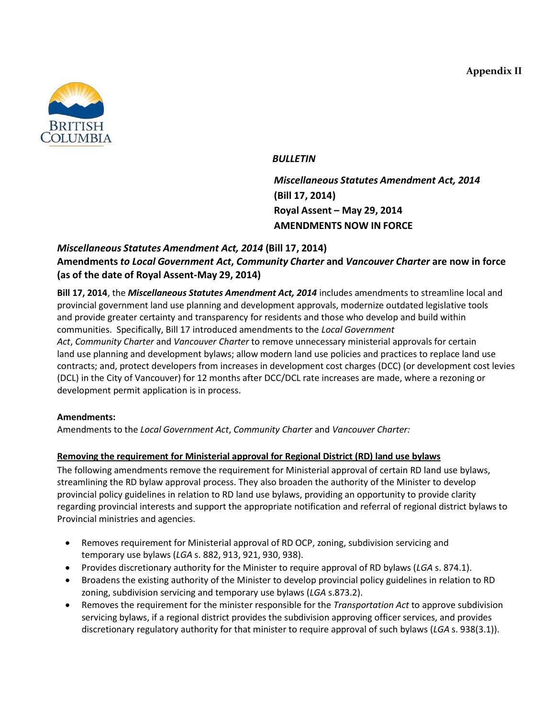**Appendix II**



## *BULLETIN*

*Miscellaneous Statutes Amendment Act, 2014* **(Bill 17, 2014) Royal Assent – May 29, 2014 AMENDMENTS NOW IN FORCE**

## *Miscellaneous Statutes Amendment Act, 2014* **(Bill 17, 2014) Amendments** *to Local Government Act***,** *Community Charter* **and** *Vancouver Charter* **are now in force (as of the date of Royal Assent-May 29, 2014)**

**Bill 17, 2014**, the *Miscellaneous Statutes Amendment Act, 2014* includes amendments to streamline local and provincial government land use planning and development approvals, modernize outdated legislative tools and provide greater certainty and transparency for residents and those who develop and build within communities. Specifically, Bill 17 introduced amendments to the *Local Government Act*, *Community Charter* and *Vancouver Charter* to remove unnecessary ministerial approvals for certain land use planning and development bylaws; allow modern land use policies and practices to replace land use contracts; and, protect developers from increases in development cost charges (DCC) (or development cost levies (DCL) in the City of Vancouver) for 12 months after DCC/DCL rate increases are made, where a rezoning or development permit application is in process.

## **Amendments:**

Amendments to the *Local Government Act*, *Community Charter* and *Vancouver Charter:*

## **Removing the requirement for Ministerial approval for Regional District (RD) land use bylaws**

The following amendments remove the requirement for Ministerial approval of certain RD land use bylaws, streamlining the RD bylaw approval process. They also broaden the authority of the Minister to develop provincial policy guidelines in relation to RD land use bylaws, providing an opportunity to provide clarity regarding provincial interests and support the appropriate notification and referral of regional district bylaws to Provincial ministries and agencies.

- Removes requirement for Ministerial approval of RD OCP, zoning, subdivision servicing and temporary use bylaws (*LGA* s. 882, 913, 921, 930, 938).
- Provides discretionary authority for the Minister to require approval of RD bylaws (*LGA* s. 874.1).
- Broadens the existing authority of the Minister to develop provincial policy guidelines in relation to RD zoning, subdivision servicing and temporary use bylaws (*LGA* s.873.2).
- Removes the requirement for the minister responsible for the *Transportation Act* to approve subdivision servicing bylaws, if a regional district provides the subdivision approving officer services, and provides discretionary regulatory authority for that minister to require approval of such bylaws (*LGA* s. 938(3.1)).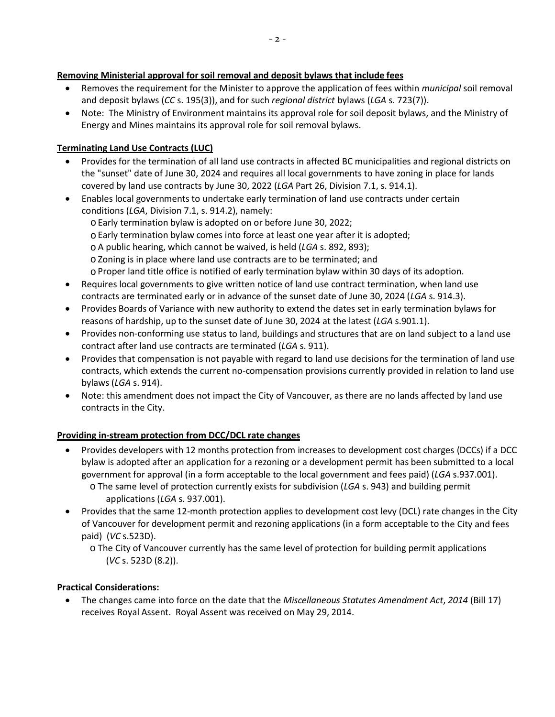## **Removing Ministerial approval for soil removal and deposit bylaws that include fees**

- Removes the requirement for the Minister to approve the application of fees within *municipal* soil removal and deposit bylaws (*CC* s. 195(3)), and for such *regional district* bylaws (*LGA* s. 723(7)).
- Note: The Ministry of Environment maintains its approval role for soil deposit bylaws, and the Ministry of Energy and Mines maintains its approval role for soil removal bylaws.

## **Terminating Land Use Contracts (LUC)**

- Provides for the termination of all land use contracts in affected BC municipalities and regional districts on the "sunset" date of June 30, 2024 and requires all local governments to have zoning in place for lands covered by land use contracts by June 30, 2022 (*LGA* Part 26, Division 7.1, s. 914.1).
- Enables local governments to undertake early termination of land use contracts under certain conditions (*LGA*, Division 7.1, s. 914.2), namely:
	- o Early termination bylaw is adopted on or before June 30, 2022;
	- $\circ$  Early termination bylaw comes into force at least one year after it is adopted;
	- o A public hearing, which cannot be waived, is held (*LGA* s. 892, 893);
	- o Zoning is in place where land use contracts are to be terminated; and
	- o Proper land title office is notified of early termination bylaw within 30 days of its adoption.
- Requires local governments to give written notice of land use contract termination, when land use contracts are terminated early or in advance of the sunset date of June 30, 2024 (*LGA* s. 914.3).
- Provides Boards of Variance with new authority to extend the dates set in early termination bylaws for reasons of hardship, up to the sunset date of June 30, 2024 at the latest (*LGA* s.901.1).
- Provides non-conforming use status to land, buildings and structures that are on land subject to a land use contract after land use contracts are terminated (*LGA* s. 911).
- Provides that compensation is not payable with regard to land use decisions for the termination of land use contracts, which extends the current no-compensation provisions currently provided in relation to land use bylaws (*LGA* s. 914).
- Note: this amendment does not impact the City of Vancouver, as there are no lands affected by land use contracts in the City.

## **Providing in-stream protection from DCC/DCL rate changes**

- Provides developers with 12 months protection from increases to development cost charges (DCCs) if a DCC bylaw is adopted after an application for a rezoning or a development permit has been submitted to a local government for approval (in a form acceptable to the local government and fees paid) (*LGA* s.937.001). o The same level of protection currently exists for subdivision (*LGA* s. 943) and building permit applications (*LGA* s. 937.001).
- Provides that the same 12-month protection applies to development cost levy (DCL) rate changes in the City of Vancouver for development permit and rezoning applications (in a form acceptable to the City and fees paid) (*VC* s.523D).

## **Practical Considerations:**

• The changes came into force on the date that the *Miscellaneous Statutes Amendment Act*, *2014* (Bill 17) receives Royal Assent. Royal Assent was received on May 29, 2014.

o The City of Vancouver currently has the same level of protection for building permit applications (*VC* s. 523D (8.2)).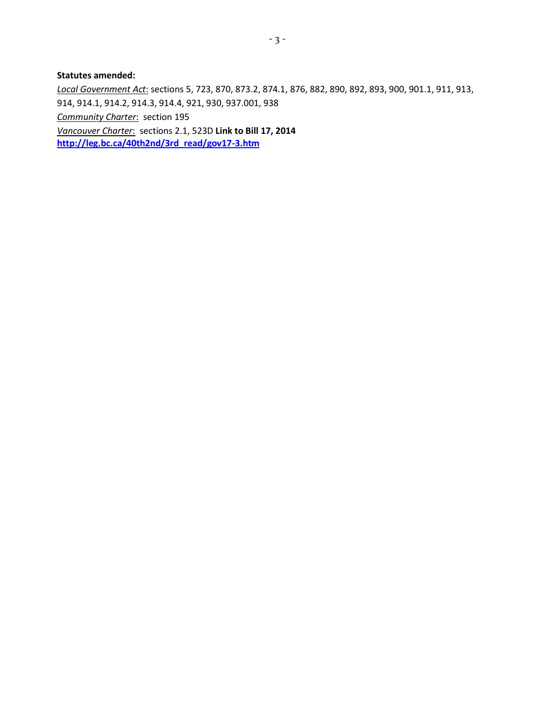#### **Statutes amended:**

*Local Government Act*: sections 5, 723, 870, 873.2, 874.1, 876, 882, 890, 892, 893, 900, 901.1, 911, 913, 914, 914.1, 914.2, 914.3, 914.4, 921, 930, 937.001, 938 *Community Charter*: section 195 *Vancouver Charter*: sections 2.1, 523D **Link to Bill 17, 2014 [http://leg.bc.ca/40th2nd/3rd\\_read/gov17-3.htm](http://leg.bc.ca/40th2nd/3rd_read/gov17-3.htm)**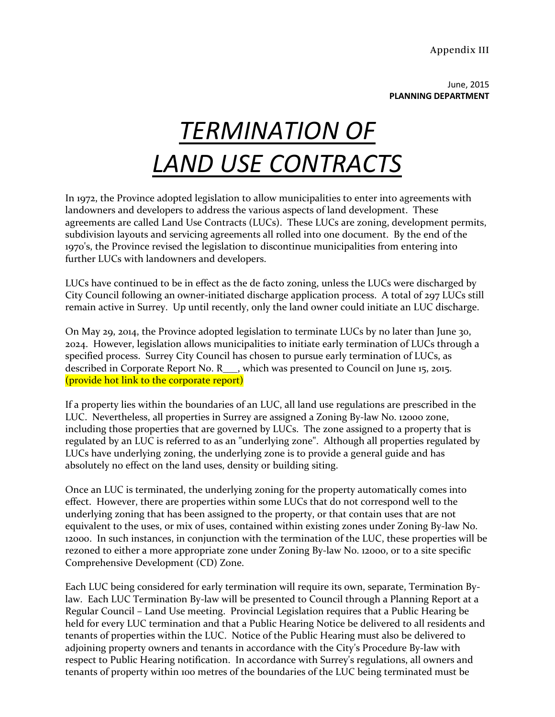Appendix III

June, 2015 **PLANNING DEPARTMENT**

# *TERMINATION OF LAND USE CONTRACTS*

In 1972, the Province adopted legislation to allow municipalities to enter into agreements with landowners and developers to address the various aspects of land development. These agreements are called Land Use Contracts (LUCs). These LUCs are zoning, development permits, subdivision layouts and servicing agreements all rolled into one document. By the end of the 1970's, the Province revised the legislation to discontinue municipalities from entering into further LUCs with landowners and developers.

LUCs have continued to be in effect as the de facto zoning, unless the LUCs were discharged by City Council following an owner-initiated discharge application process. A total of 297 LUCs still remain active in Surrey. Up until recently, only the land owner could initiate an LUC discharge.

On May 29, 2014, the Province adopted legislation to terminate LUCs by no later than June 30, 2024. However, legislation allows municipalities to initiate early termination of LUCs through a specified process. Surrey City Council has chosen to pursue early termination of LUCs, as described in Corporate Report No. R\_\_\_, which was presented to Council on June 15, 2015. (provide hot link to the corporate report)

If a property lies within the boundaries of an LUC, all land use regulations are prescribed in the LUC. Nevertheless, all properties in Surrey are assigned a Zoning By-law No. 12000 zone, including those properties that are governed by LUCs. The zone assigned to a property that is regulated by an LUC is referred to as an "underlying zone". Although all properties regulated by LUCs have underlying zoning, the underlying zone is to provide a general guide and has absolutely no effect on the land uses, density or building siting.

Once an LUC is terminated, the underlying zoning for the property automatically comes into effect. However, there are properties within some LUCs that do not correspond well to the underlying zoning that has been assigned to the property, or that contain uses that are not equivalent to the uses, or mix of uses, contained within existing zones under Zoning By-law No. 12000. In such instances, in conjunction with the termination of the LUC, these properties will be rezoned to either a more appropriate zone under Zoning By-law No. 1200o, or to a site specific Comprehensive Development (CD) Zone.

Each LUC being considered for early termination will require its own, separate, Termination Bylaw. Each LUC Termination By-law will be presented to Council through a Planning Report at a Regular Council – Land Use meeting. Provincial Legislation requires that a Public Hearing be held for every LUC termination and that a Public Hearing Notice be delivered to all residents and tenants of properties within the LUC. Notice of the Public Hearing must also be delivered to adjoining property owners and tenants in accordance with the City's Procedure By-law with respect to Public Hearing notification. In accordance with Surrey's regulations, all owners and tenants of property within 100 metres of the boundaries of the LUC being terminated must be